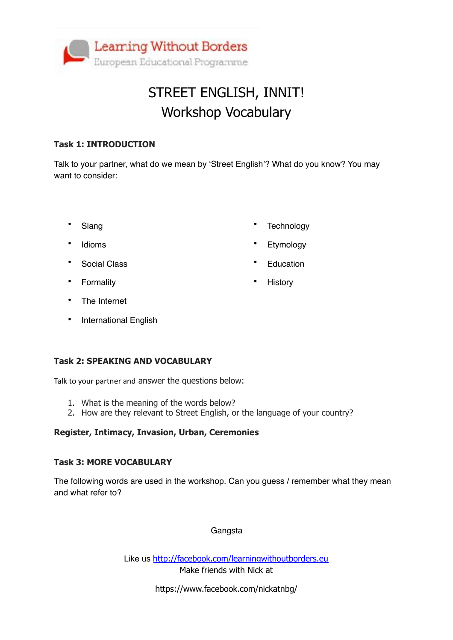

## STREET ENGLISH, INNIT! Workshop Vocabulary

#### **Task 1: INTRODUCTION**

Talk to your partner, what do we mean by 'Street English'? What do you know? You may want to consider:

• Slang

- 
- **Technology**

**Education** 

**History** 

**Etymology** 

- **Social Class**
- Formality

**Idioms** 

- The Internet
- International English

#### **Task 2: SPEAKING AND VOCABULARY**

Talk to your partner and answer the questions below:

- 1. What is the meaning of the words below?
- 2. How are they relevant to Street English, or the language of your country?

#### **Register, Intimacy, Invasion, Urban, Ceremonies**

#### **Task 3: MORE VOCABULARY**

The following words are used in the workshop. Can you guess / remember what they mean and what refer to?

#### **Gangsta**

Like us <http://facebook.com/learningwithoutborders.eu> Make friends with Nick at

https://www.facebook.com/nickatnbg/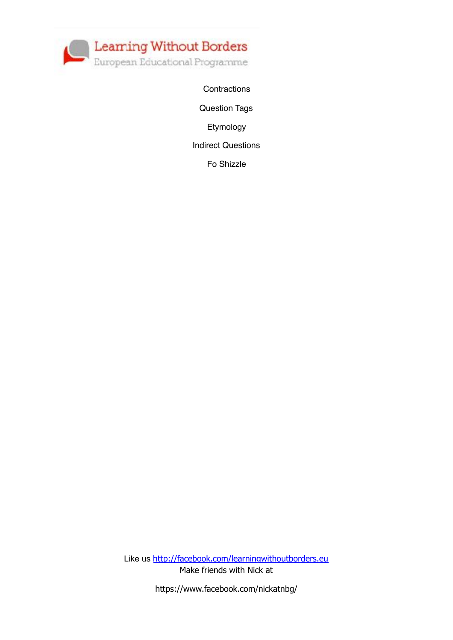

**Contractions** 

Question Tags

Etymology

Indirect Questions

Fo Shizzle

Like us <http://facebook.com/learningwithoutborders.eu> Make friends with Nick at

https://www.facebook.com/nickatnbg/